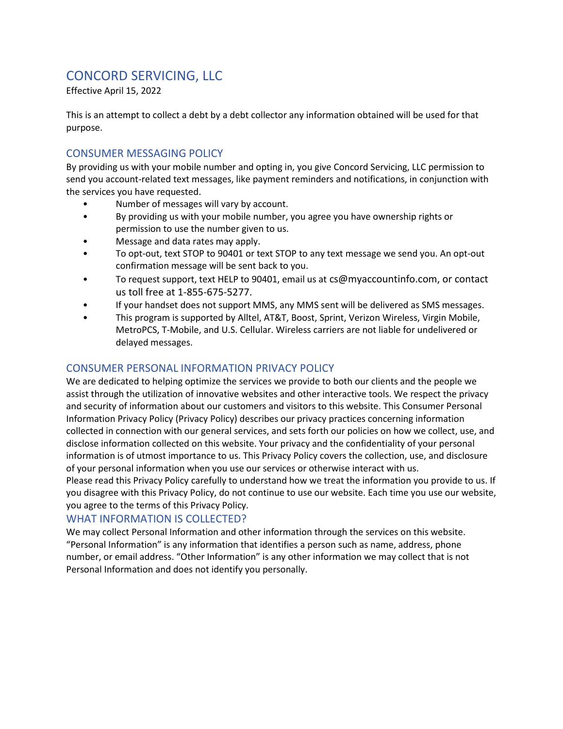# CONCORD SERVICING, LLC

Effective April 15, 2022

This is an attempt to collect a debt by a debt collector any information obtained will be used for that purpose.

## CONSUMER MESSAGING POLICY

By providing us with your mobile number and opting in, you give Concord Servicing, LLC permission to send you account-related text messages, like payment reminders and notifications, in conjunction with the services you have requested.

- Number of messages will vary by account.
- By providing us with your mobile number, you agree you have ownership rights or permission to use the number given to us.
- Message and data rates may apply.
- To opt-out, text STOP to 90401 or text STOP to any text message we send you. An opt-out confirmation message will be sent back to you.
- To request support, text HELP to 90401, email us at cs@myaccountinfo.com, or contact us toll free at 1-855-675-5277.
- If your handset does not support MMS, any MMS sent will be delivered as SMS messages.
- This program is supported by Alltel, AT&T, Boost, Sprint, Verizon Wireless, Virgin Mobile, MetroPCS, T-Mobile, and U.S. Cellular. Wireless carriers are not liable for undelivered or delayed messages.

# CONSUMER PERSONAL INFORMATION PRIVACY POLICY

We are dedicated to helping optimize the services we provide to both our clients and the people we assist through the utilization of innovative websites and other interactive tools. We respect the privacy and security of information about our customers and visitors to this website. This Consumer Personal Information Privacy Policy (Privacy Policy) describes our privacy practices concerning information collected in connection with our general services, and sets forth our policies on how we collect, use, and disclose information collected on this website. Your privacy and the confidentiality of your personal information is of utmost importance to us. This Privacy Policy covers the collection, use, and disclosure of your personal information when you use our services or otherwise interact with us.

Please read this Privacy Policy carefully to understand how we treat the information you provide to us. If you disagree with this Privacy Policy, do not continue to use our website. Each time you use our website, you agree to the terms of this Privacy Policy.

## WHAT INFORMATION IS COLLECTED?

We may collect Personal Information and other information through the services on this website. "Personal Information" is any information that identifies a person such as name, address, phone number, or email address. "Other Information" is any other information we may collect that is not Personal Information and does not identify you personally.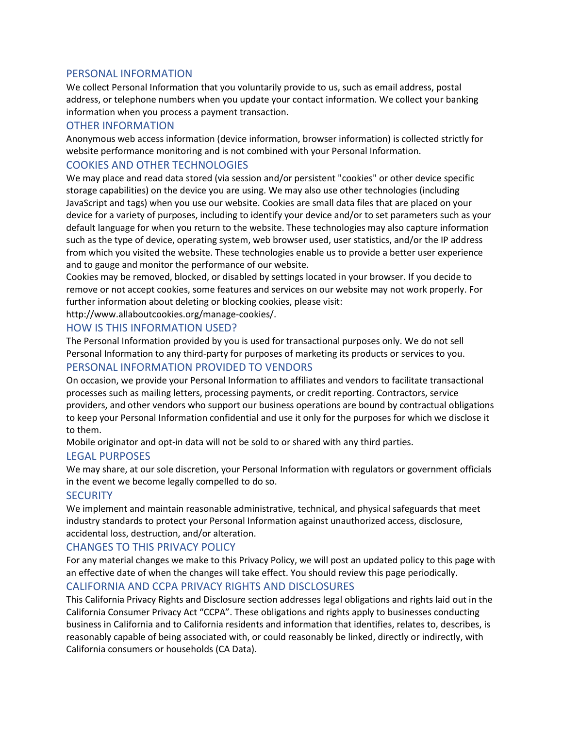#### PERSONAL INFORMATION

We collect Personal Information that you voluntarily provide to us, such as email address, postal address, or telephone numbers when you update your contact information. We collect your banking information when you process a payment transaction.

## OTHER INFORMATION

Anonymous web access information (device information, browser information) is collected strictly for website performance monitoring and is not combined with your Personal Information.

# COOKIES AND OTHER TECHNOLOGIES

We may place and read data stored (via session and/or persistent "cookies" or other device specific storage capabilities) on the device you are using. We may also use other technologies (including JavaScript and tags) when you use our website. Cookies are small data files that are placed on your device for a variety of purposes, including to identify your device and/or to set parameters such as your default language for when you return to the website. These technologies may also capture information such as the type of device, operating system, web browser used, user statistics, and/or the IP address from which you visited the website. These technologies enable us to provide a better user experience and to gauge and monitor the performance of our website.

Cookies may be removed, blocked, or disabled by settings located in your browser. If you decide to remove or not accept cookies, some features and services on our website may not work properly. For further information about deleting or blocking cookies, please visit:

http://www.allaboutcookies.org/manage-cookies/.

## HOW IS THIS INFORMATION USED?

The Personal Information provided by you is used for transactional purposes only. We do not sell Personal Information to any third-party for purposes of marketing its products or services to you. PERSONAL INFORMATION PROVIDED TO VENDORS

On occasion, we provide your Personal Information to affiliates and vendors to facilitate transactional processes such as mailing letters, processing payments, or credit reporting. Contractors, service providers, and other vendors who support our business operations are bound by contractual obligations to keep your Personal Information confidential and use it only for the purposes for which we disclose it to them.

Mobile originator and opt-in data will not be sold to or shared with any third parties.

## LEGAL PURPOSES

We may share, at our sole discretion, your Personal Information with regulators or government officials in the event we become legally compelled to do so.

## **SECURITY**

We implement and maintain reasonable administrative, technical, and physical safeguards that meet industry standards to protect your Personal Information against unauthorized access, disclosure, accidental loss, destruction, and/or alteration.

## CHANGES TO THIS PRIVACY POLICY

For any material changes we make to this Privacy Policy, we will post an updated policy to this page with an effective date of when the changes will take effect. You should review this page periodically.

## CALIFORNIA AND CCPA PRIVACY RIGHTS AND DISCLOSURES

This California Privacy Rights and Disclosure section addresses legal obligations and rights laid out in the California Consumer Privacy Act "CCPA". These obligations and rights apply to businesses conducting business in California and to California residents and information that identifies, relates to, describes, is reasonably capable of being associated with, or could reasonably be linked, directly or indirectly, with California consumers or households (CA Data).